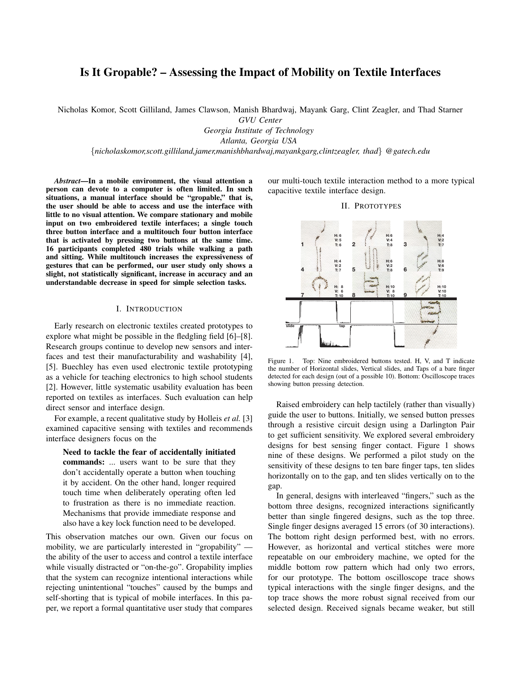# Is It Gropable? – Assessing the Impact of Mobility on Textile Interfaces

Nicholas Komor, Scott Gilliland, James Clawson, Manish Bhardwaj, Mayank Garg, Clint Zeagler, and Thad Starner

*GVU Center*

*Georgia Institute of Technology Atlanta, Georgia USA*

{*nicholaskomor,scott.gilliland,jamer,manishbhardwaj,mayankgarg,clintzeagler, thad*} *@gatech.edu*

*Abstract*—In a mobile environment, the visual attention a person can devote to a computer is often limited. In such situations, a manual interface should be "gropable," that is, the user should be able to access and use the interface with little to no visual attention. We compare stationary and mobile input on two embroidered textile interfaces; a single touch three button interface and a multitouch four button interface that is activated by pressing two buttons at the same time. 16 participants completed 480 trials while walking a path and sitting. While multitouch increases the expressiveness of gestures that can be performed, our user study only shows a slight, not statistically significant, increase in accuracy and an understandable decrease in speed for simple selection tasks.

## I. INTRODUCTION

Early research on electronic textiles created prototypes to explore what might be possible in the fledgling field [6]–[8]. Research groups continue to develop new sensors and interfaces and test their manufacturability and washability [4], [5]. Buechley has even used electronic textile prototyping as a vehicle for teaching electronics to high school students [2]. However, little systematic usability evaluation has been reported on textiles as interfaces. Such evaluation can help direct sensor and interface design.

For example, a recent qualitative study by Holleis *et al.* [3] examined capacitive sensing with textiles and recommends interface designers focus on the

Need to tackle the fear of accidentally initiated commands: ... users want to be sure that they don't accidentally operate a button when touching it by accident. On the other hand, longer required touch time when deliberately operating often led to frustration as there is no immediate reaction. Mechanisms that provide immediate response and also have a key lock function need to be developed.

This observation matches our own. Given our focus on mobility, we are particularly interested in "gropability" the ability of the user to access and control a textile interface while visually distracted or "on-the-go". Gropability implies that the system can recognize intentional interactions while rejecting unintentional "touches" caused by the bumps and self-shorting that is typical of mobile interfaces. In this paper, we report a formal quantitative user study that compares our multi-touch textile interaction method to a more typical capacitive textile interface design.

II. PROTOTYPES



Figure 1. Top: Nine embroidered buttons tested. H, V, and T indicate the number of Horizontal slides, Vertical slides, and Taps of a bare finger detected for each design (out of a possible 10). Bottom: Oscilloscope traces showing button pressing detection.

Raised embroidery can help tactilely (rather than visually) guide the user to buttons. Initially, we sensed button presses through a resistive circuit design using a Darlington Pair to get sufficient sensitivity. We explored several embroidery designs for best sensing finger contact. Figure 1 shows nine of these designs. We performed a pilot study on the sensitivity of these designs to ten bare finger taps, ten slides horizontally on to the gap, and ten slides vertically on to the gap.

In general, designs with interleaved "fingers," such as the bottom three designs, recognized interactions significantly better than single fingered designs, such as the top three. Single finger designs averaged 15 errors (of 30 interactions). The bottom right design performed best, with no errors. However, as horizontal and vertical stitches were more repeatable on our embroidery machine, we opted for the middle bottom row pattern which had only two errors, for our prototype. The bottom oscilloscope trace shows typical interactions with the single finger designs, and the top trace shows the more robust signal received from our selected design. Received signals became weaker, but still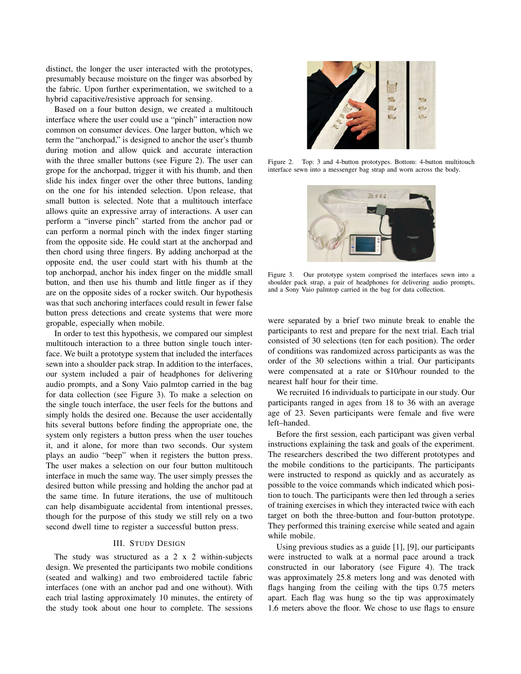distinct, the longer the user interacted with the prototypes, presumably because moisture on the finger was absorbed by the fabric. Upon further experimentation, we switched to a hybrid capacitive/resistive approach for sensing.

Based on a four button design, we created a multitouch interface where the user could use a "pinch" interaction now common on consumer devices. One larger button, which we term the "anchorpad," is designed to anchor the user's thumb during motion and allow quick and accurate interaction with the three smaller buttons (see Figure 2). The user can  $\frac{1}{2}$  Figure 2. grope for the anchorpad, trigger it with his thumb, and then interface s slide his index finger over the other three buttons, landing on the one for his intended selection. Upon release, that small button is selected. Note that a multitouch interface allows quite an expressive array of interactions. A user can anows quite an expressive analy or interactions. The sense of the perform a "inverse pinch" started from the anchor pad or can perform a normal pinch with the index finger starting from the opposite side. He could start at the anchorpad and then chord using three fingers. By adding anchorpad at the opposite end, the user could start with his thumb at the top anchorpad, anchor his index finger on the middle small  $_{\text{Figure 3}}$ . button, and then use his thumb and little finger as if they shoulder  $\frac{1}{2}$ are on the opposite sides of a rocker switch. Our hypothesis and a Son was that such anchoring interfaces could result in fewer false button press detections and create systems that were more gropable, especially when mobile.

In order to test this hypothesis, we compared our simplest multitouch interaction to a three button single touch interface. We built a prototype system that included the interfaces sewn into a shoulder pack strap. In addition to the interfaces, our system included a pair of headphones for delivering audio prompts, and a Sony Vaio palmtop carried in the bag for data collection (see Figure 3). To make a selection on the single touch interface, the user feels for the buttons and simply holds the desired one. Because the user accidentally hits several buttons before finding the appropriate one, the system only registers a button press when the user touches it, and it alone, for more than two seconds. Our system plays an audio "beep" when it registers the button press. The user makes a selection on our four button multitouch interface in much the same way. The user simply presses the desired button while pressing and holding the anchor pad at the same time. In future iterations, the use of multitouch can help disambiguate accidental from intentional presses, though for the purpose of this study we still rely on a two second dwell time to register a successful button press.

## III. STUDY DESIGN

The study was structured as a 2 x 2 within-subjects design. We presented the participants two mobile conditions (seated and walking) and two embroidered tactile fabric interfaces (one with an anchor pad and one without). With each trial lasting approximately 10 minutes, the entirety of the study took about one hour to complete. The sessions



Figure 2. Top: 3 and 4-button prototypes. Bottom: 4-button multitouch interface sewn into a messenger bag strap and worn across the body.



shoulder pack strap, a pair of headphones for delivering audio prompts, and a Sony Vaio palmtop carried in the bag for data collection. Figure 3. Our prototype system comprised the interfaces sewn into a

were separated by a brief two minute break to enable the participants to rest and prepare for the next trial. Each trial consisted of 30 selections (ten for each position). The order of conditions was randomized across participants as was the order of the 30 selections within a trial. Our participants were compensated at a rate or \$10/hour rounded to the nearest half hour for their time.

We recruited 16 individuals to participate in our study. Our participants ranged in ages from 18 to 36 with an average age of 23. Seven participants were female and five were left–handed.

Before the first session, each participant was given verbal instructions explaining the task and goals of the experiment. The researchers described the two different prototypes and the mobile conditions to the participants. The participants were instructed to respond as quickly and as accurately as possible to the voice commands which indicated which position to touch. The participants were then led through a series of training exercises in which they interacted twice with each target on both the three-button and four-button prototype. They performed this training exercise while seated and again while mobile.

Using previous studies as a guide [1], [9], our participants were instructed to walk at a normal pace around a track constructed in our laboratory (see Figure 4). The track was approximately 25.8 meters long and was denoted with flags hanging from the ceiling with the tips 0.75 meters apart. Each flag was hung so the tip was approximately 1.6 meters above the floor. We chose to use flags to ensure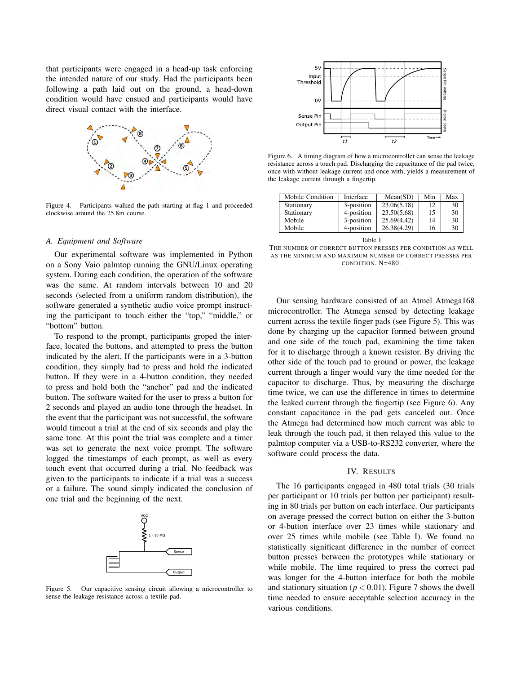that participants were engaged in a head-up task enforcing the intended nature of our study. Had the participants been following a path laid out on the ground, a head-down condition would have ensued and participants would have direct visual contact with the interface.



Figure 4. Participants walked the path starting at flag 1 and proceeded clockwise around the 25.8m course. We recruited 16 individuals to participate in our study. Our

#### A. Equipment and Software  $\mathbf{r}$  instructions experiment.

Our experimental software was implemented in Python  $\sigma_{\text{m}}$  conditions to the participants. The participants of participants. The participants of participants. The participants of participants. The participants of participants of participants. The participants of partic on a Sony Vaio palmtop running the GNU/Linux operating system. During each condition, the operation of the software was the same. At random intervals between 10 and 20 seconds (selected from a uniform random distribution), the software generated a synthetic audio voice prompt instructing the participant to touch either the "top," "middle," or "bottom" button.  $\mathbf{F}$  to the prompt, participants grouped the inter- $\mu$ ttons, and attempted to press the buttons, and attenuate

To respond to the prompt, participants groped the inter- $\sum_{i=1}^{\infty}$ face, located the buttons, and attempted to press the button indicated by the alert. If the participants were in a 3-button condition, they simply had to press and hold the indicated button. If they were in a 4-button condition, they needed to press and hold both the "anchor" pad and the indicated the event that the participant was not successful, the software would timeout a trial at the end of six seconds and play the same tone. At this point the trial was complete and a timer button. The software waited for the user to press a button for 2 seconds and played an audio tone through the headset. In was set to generate the next voice prompt. The software logged the timestamps of each prompt, as well as every touch event that occurred during a trial. No feedback was given to the participants to indicate if a trial was a success or a failure. The sound simply indicated the conclusion of one trial and the beginning of the next.



Figure 5. Our capacitive sensing circuit allowing a microcontroller to sense the leakage resistance across a textile pad.



Figure 6. A timing diagram of how a microcontroller can sense the leakage resistance across a touch pad. Discharging the capacitance of the pad twice, once with without leakage current and once with, yields a measurement of the leakage current through a fingertip.

| Mobile Condition | Interface  | Mean(SD)    | Min | Max |
|------------------|------------|-------------|-----|-----|
| Stationary       | 3-position | 23.06(5.18) | 12  | 30  |
| Stationary       | 4-position | 23.50(5.68) | 15  | 30  |
| Mobile           | 3-position | 25.69(4.42) | 14  | 30  |
| Mobile           | 4-position | 26.38(4.29) | 16  | 30  |

Table I

THE NUMBER OF CORRECT BUTTON PRESSES PER CONDITION AS WELL AS THE MINIMUM AND MAXIMUM NUMBER OF CORRECT PRESSES PER CONDITION. N=480.

Our sensing hardware consisted of an Atmel Atmega168 microcontroller. The Atmega sensed by detecting leakage current across the textile finger pads (see Figure 5). This was done by charging up the capacitor formed between ground and one side of the touch pad, examining the time taken for it to discharge through a known resistor. By driving the other side of the touch pad to ground or power, the leakage current through a finger would vary the time needed for the capacitor to discharge. Thus, by measuring the discharge time twice, we can use the difference in times to determine the leaked current through the fingertip (see Figure 6). Any constant capacitance in the pad gets canceled out. Once the Atmega had determined how much current was able to leak through the touch pad, it then relayed this value to the palmtop computer via a USB-to-RS232 converter, where the software could process the data.

## IV. RESULTS

The 16 participants engaged in 480 total trials (30 trials per participant or 10 trials per button per participant) resulting in 80 trials per button on each interface. Our participants on average pressed the correct button on either the 3-button or 4-button interface over 23 times while stationary and over 25 times while mobile (see Table I). We found no statistically significant difference in the number of correct button presses between the prototypes while stationary or while mobile. The time required to press the correct pad was longer for the 4-button interface for both the mobile and stationary situation ( $p < 0.01$ ). Figure 7 shows the dwell time needed to ensure acceptable selection accuracy in the various conditions.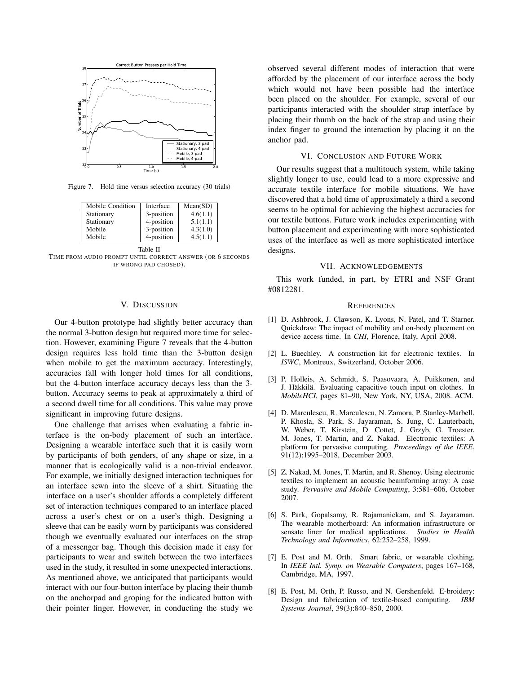

Figure 7. Hold time versus selection accuracy (30 trials)

| Mobile Condition | Interface  | Mean(SD) |
|------------------|------------|----------|
| Stationary       | 3-position | 4.6(1.1) |
| Stationary       | 4-position | 5.1(1.1) |
| Mobile           | 3-position | 4.3(1.0) |
| Mobile           | 4-position | 4.5(1.1) |

Table II TIME FROM AUDIO PROMPT UNTIL CORRECT ANSWER (OR 6 SECONDS IF WRONG PAD CHOSED).

#### V. DISCUSSION

Our 4-button prototype had slightly better accuracy than the normal 3-button design but required more time for selection. However, examining Figure 7 reveals that the 4-button design requires less hold time than the 3-button design when mobile to get the maximum accuracy. Interestingly, accuracies fall with longer hold times for all conditions, but the 4-button interface accuracy decays less than the 3 button. Accuracy seems to peak at approximately a third of a second dwell time for all conditions. This value may prove significant in improving future designs.

One challenge that arrises when evaluating a fabric interface is the on-body placement of such an interface. Designing a wearable interface such that it is easily worn by participants of both genders, of any shape or size, in a manner that is ecologically valid is a non-trivial endeavor. For example, we initially designed interaction techniques for an interface sewn into the sleeve of a shirt. Situating the interface on a user's shoulder affords a completely different set of interaction techniques compared to an interface placed across a user's chest or on a user's thigh. Designing a sleeve that can be easily worn by participants was considered though we eventually evaluated our interfaces on the strap of a messenger bag. Though this decision made it easy for participants to wear and switch between the two interfaces used in the study, it resulted in some unexpected interactions. As mentioned above, we anticipated that participants would interact with our four-button interface by placing their thumb on the anchorpad and groping for the indicated button with their pointer finger. However, in conducting the study we observed several different modes of interaction that were afforded by the placement of our interface across the body which would not have been possible had the interface been placed on the shoulder. For example, several of our participants interacted with the shoulder strap interface by placing their thumb on the back of the strap and using their index finger to ground the interaction by placing it on the anchor pad.

#### VI. CONCLUSION AND FUTURE WORK

Our results suggest that a multitouch system, while taking slightly longer to use, could lead to a more expressive and accurate textile interface for mobile situations. We have discovered that a hold time of approximately a third a second seems to be optimal for achieving the highest accuracies for our textile buttons. Future work includes experimenting with button placement and experimenting with more sophisticated uses of the interface as well as more sophisticated interface designs.

#### VII. ACKNOWLEDGEMENTS

This work funded, in part, by ETRI and NSF Grant #0812281.

#### **REFERENCES**

- [1] D. Ashbrook, J. Clawson, K. Lyons, N. Patel, and T. Starner. Quickdraw: The impact of mobility and on-body placement on device access time. In *CHI*, Florence, Italy, April 2008.
- [2] L. Buechley. A construction kit for electronic textiles. In *ISWC*, Montreux, Switzerland, October 2006.
- [3] P. Holleis, A. Schmidt, S. Paasovaara, A. Puikkonen, and J. Häkkilä. Evaluating capacitive touch input on clothes. In *MobileHCI*, pages 81–90, New York, NY, USA, 2008. ACM.
- [4] D. Marculescu, R. Marculescu, N. Zamora, P. Stanley-Marbell, P. Khosla, S. Park, S. Jayaraman, S. Jung, C. Lauterbach, W. Weber, T. Kirstein, D. Cottet, J. Grzyb, G. Troester, M. Jones, T. Martin, and Z. Nakad. Electronic textiles: A platform for pervasive computing. *Proceedings of the IEEE*, 91(12):1995–2018, December 2003.
- [5] Z. Nakad, M. Jones, T. Martin, and R. Shenoy. Using electronic textiles to implement an acoustic beamforming array: A case study. *Pervasive and Mobile Computing*, 3:581–606, October 2007.
- [6] S. Park, Gopalsamy, R. Rajamanickam, and S. Jayaraman. The wearable motherboard: An information infrastructure or sensate liner for medical applications. *Studies in Health Technology and Informatics*, 62:252–258, 1999.
- [7] E. Post and M. Orth. Smart fabric, or wearable clothing. In *IEEE Intl. Symp. on Wearable Computers*, pages 167–168, Cambridge, MA, 1997.
- [8] E. Post, M. Orth, P. Russo, and N. Gershenfeld. E-broidery: Design and fabrication of textile-based computing. *IBM Systems Journal*, 39(3):840–850, 2000.